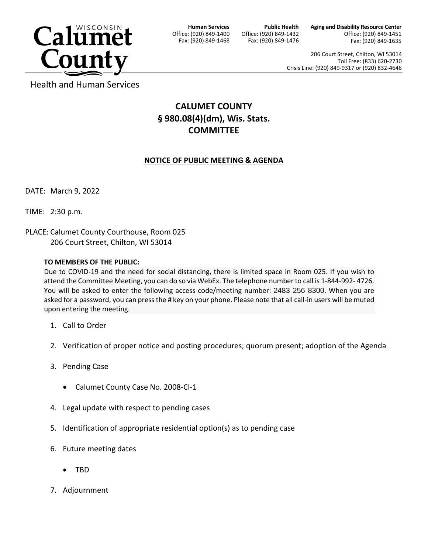

**Human Services** Office: (920) 849-1400 Fax: (920) 849-1468

**Public Health** Office: (920) 849-1432 Fax: (920) 849-1476 **Aging and Disability Resource Center** Office: (920) 849-1451 Fax: (920) 849-1635

206 Court Street, Chilton, WI 53014 Toll Free: (833) 620-2730 Crisis Line: (920) 849-9317 or (920) 832-4646

Health and Human Services

## **CALUMET COUNTY § 980.08(4)(dm), Wis. Stats. COMMITTEE**

## **NOTICE OF PUBLIC MEETING & AGENDA**

DATE: March 9, 2022

TIME: 2:30 p.m.

PLACE: Calumet County Courthouse, Room 025 206 Court Street, Chilton, WI 53014

## **TO MEMBERS OF THE PUBLIC:**

Due to COVID-19 and the need for social distancing, there is limited space in Room 025. If you wish to attend the Committee Meeting, you can do so via WebEx. The telephone number to call is 1-844-992- 4726. You will be asked to enter the following access code/meeting number: 2483 256 8300. When you are asked for a password, you can press the # key on your phone. Please note that all call-in users will be muted upon entering the meeting.

- 1. Call to Order
- 2. Verification of proper notice and posting procedures; quorum present; adoption of the Agenda
- 3. Pending Case
	- Calumet County Case No. 2008-CI-1
- 4. Legal update with respect to pending cases
- 5. Identification of appropriate residential option(s) as to pending case
- 6. Future meeting dates
	- TBD
- 7. Adjournment